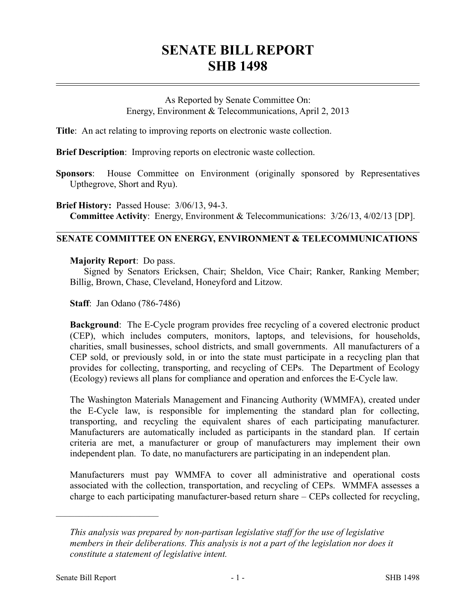# **SENATE BILL REPORT SHB 1498**

As Reported by Senate Committee On: Energy, Environment & Telecommunications, April 2, 2013

**Title**: An act relating to improving reports on electronic waste collection.

**Brief Description**: Improving reports on electronic waste collection.

**Sponsors**: House Committee on Environment (originally sponsored by Representatives Upthegrove, Short and Ryu).

**Brief History:** Passed House: 3/06/13, 94-3. **Committee Activity**: Energy, Environment & Telecommunications: 3/26/13, 4/02/13 [DP].

# **SENATE COMMITTEE ON ENERGY, ENVIRONMENT & TELECOMMUNICATIONS**

## **Majority Report**: Do pass.

Signed by Senators Ericksen, Chair; Sheldon, Vice Chair; Ranker, Ranking Member; Billig, Brown, Chase, Cleveland, Honeyford and Litzow.

**Staff**: Jan Odano (786-7486)

**Background**: The E-Cycle program provides free recycling of a covered electronic product (CEP), which includes computers, monitors, laptops, and televisions, for households, charities, small businesses, school districts, and small governments. All manufacturers of a CEP sold, or previously sold, in or into the state must participate in a recycling plan that provides for collecting, transporting, and recycling of CEPs. The Department of Ecology (Ecology) reviews all plans for compliance and operation and enforces the E-Cycle law.

The Washington Materials Management and Financing Authority (WMMFA), created under the E-Cycle law, is responsible for implementing the standard plan for collecting, transporting, and recycling the equivalent shares of each participating manufacturer. Manufacturers are automatically included as participants in the standard plan. If certain criteria are met, a manufacturer or group of manufacturers may implement their own independent plan. To date, no manufacturers are participating in an independent plan.

Manufacturers must pay WMMFA to cover all administrative and operational costs associated with the collection, transportation, and recycling of CEPs. WMMFA assesses a charge to each participating manufacturer-based return share – CEPs collected for recycling,

––––––––––––––––––––––

*This analysis was prepared by non-partisan legislative staff for the use of legislative members in their deliberations. This analysis is not a part of the legislation nor does it constitute a statement of legislative intent.*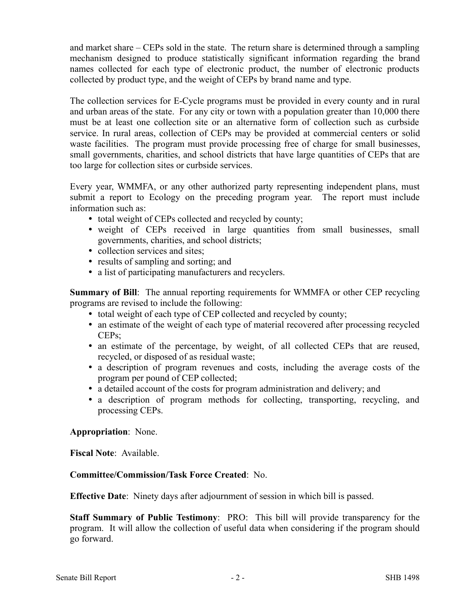and market share – CEPs sold in the state. The return share is determined through a sampling mechanism designed to produce statistically significant information regarding the brand names collected for each type of electronic product, the number of electronic products collected by product type, and the weight of CEPs by brand name and type.

The collection services for E-Cycle programs must be provided in every county and in rural and urban areas of the state. For any city or town with a population greater than 10,000 there must be at least one collection site or an alternative form of collection such as curbside service. In rural areas, collection of CEPs may be provided at commercial centers or solid waste facilities. The program must provide processing free of charge for small businesses, small governments, charities, and school districts that have large quantities of CEPs that are too large for collection sites or curbside services.

Every year, WMMFA, or any other authorized party representing independent plans, must submit a report to Ecology on the preceding program year. The report must include information such as:

- total weight of CEPs collected and recycled by county;
- weight of CEPs received in large quantities from small businesses, small governments, charities, and school districts;
- collection services and sites;
- results of sampling and sorting; and
- a list of participating manufacturers and recyclers.

**Summary of Bill**: The annual reporting requirements for WMMFA or other CEP recycling programs are revised to include the following:

- total weight of each type of CEP collected and recycled by county;
- an estimate of the weight of each type of material recovered after processing recycled CEPs;
- an estimate of the percentage, by weight, of all collected CEPs that are reused, recycled, or disposed of as residual waste;
- a description of program revenues and costs, including the average costs of the program per pound of CEP collected;
- a detailed account of the costs for program administration and delivery; and
- a description of program methods for collecting, transporting, recycling, and processing CEPs.

### **Appropriation**: None.

**Fiscal Note**: Available.

### **Committee/Commission/Task Force Created**: No.

**Effective Date**: Ninety days after adjournment of session in which bill is passed.

**Staff Summary of Public Testimony**: PRO: This bill will provide transparency for the program. It will allow the collection of useful data when considering if the program should go forward.